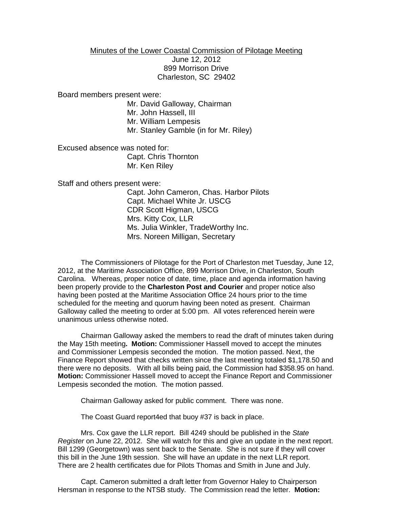## Minutes of the Lower Coastal Commission of Pilotage Meeting June 12, 2012 899 Morrison Drive Charleston, SC 29402

Board members present were:

Mr. David Galloway, Chairman Mr. John Hassell, III Mr. William Lempesis Mr. Stanley Gamble (in for Mr. Riley)

Excused absence was noted for: Capt. Chris Thornton Mr. Ken Riley

Staff and others present were:

Capt. John Cameron, Chas. Harbor Pilots Capt. Michael White Jr. USCG CDR Scott Higman, USCG Mrs. Kitty Cox, LLR Ms. Julia Winkler, TradeWorthy Inc. Mrs. Noreen Milligan, Secretary

The Commissioners of Pilotage for the Port of Charleston met Tuesday, June 12, 2012, at the Maritime Association Office, 899 Morrison Drive, in Charleston, South Carolina. Whereas, proper notice of date, time, place and agenda information having been properly provide to the **Charleston Post and Courier** and proper notice also having been posted at the Maritime Association Office 24 hours prior to the time scheduled for the meeting and quorum having been noted as present. Chairman Galloway called the meeting to order at 5:00 pm. All votes referenced herein were unanimous unless otherwise noted.

Chairman Galloway asked the members to read the draft of minutes taken during the May 15th meeting**. Motion:** Commissioner Hassell moved to accept the minutes and Commissioner Lempesis seconded the motion. The motion passed. Next, the Finance Report showed that checks written since the last meeting totaled \$1,178.50 and there were no deposits. With all bills being paid, the Commission had \$358.95 on hand. **Motion:** Commissioner Hassell moved to accept the Finance Report and Commissioner Lempesis seconded the motion. The motion passed.

Chairman Galloway asked for public comment. There was none.

The Coast Guard report4ed that buoy #37 is back in place.

Mrs. Cox gave the LLR report. Bill 4249 should be published in the *State Register* on June 22, 2012. She will watch for this and give an update in the next report. Bill 1299 (Georgetown) was sent back to the Senate. She is not sure if they will cover this bill in the June 19th session. She will have an update in the next LLR report. There are 2 health certificates due for Pilots Thomas and Smith in June and July.

Capt. Cameron submitted a draft letter from Governor Haley to Chairperson Hersman in response to the NTSB study. The Commission read the letter. **Motion:**